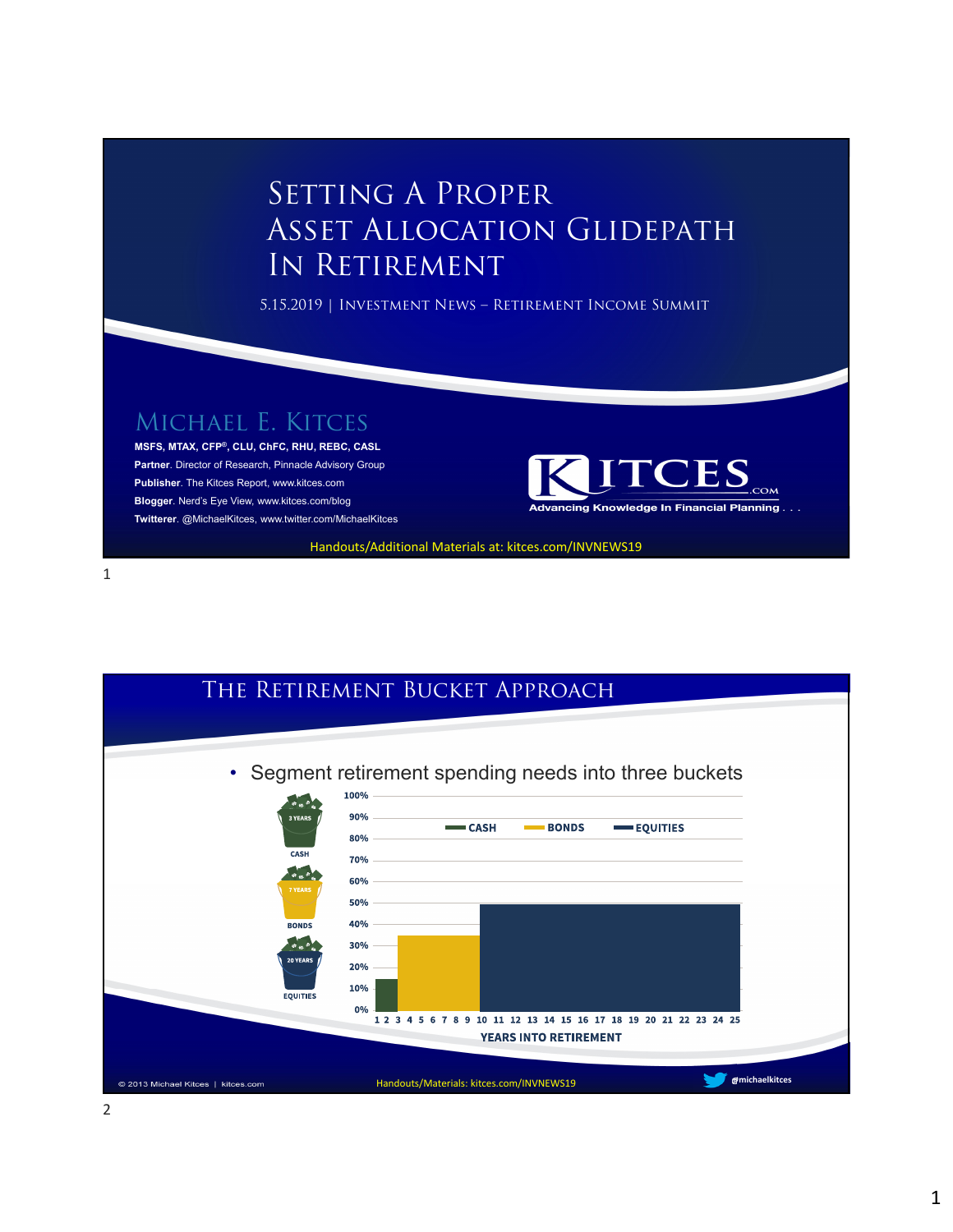## SETTING A PROPER Asset Allocation Glidepath In Retirement

5.15.2019 | Investment News – Retirement Income Summit

Michael E. Kitces

**MSFS, MTAX, CFP®, CLU, ChFC, RHU, REBC, CASL Partner**. Director of Research, Pinnacle Advisory Group **Publisher**. The Kitces Report, www.kitces.com **Blogger**. Nerd's Eye View, www.kitces.com/blog **Twitterer**. @MichaelKitces, www.twitter.com/MichaelKitces



Handouts/Additional Materials at: kitces.com/INVNEWS19

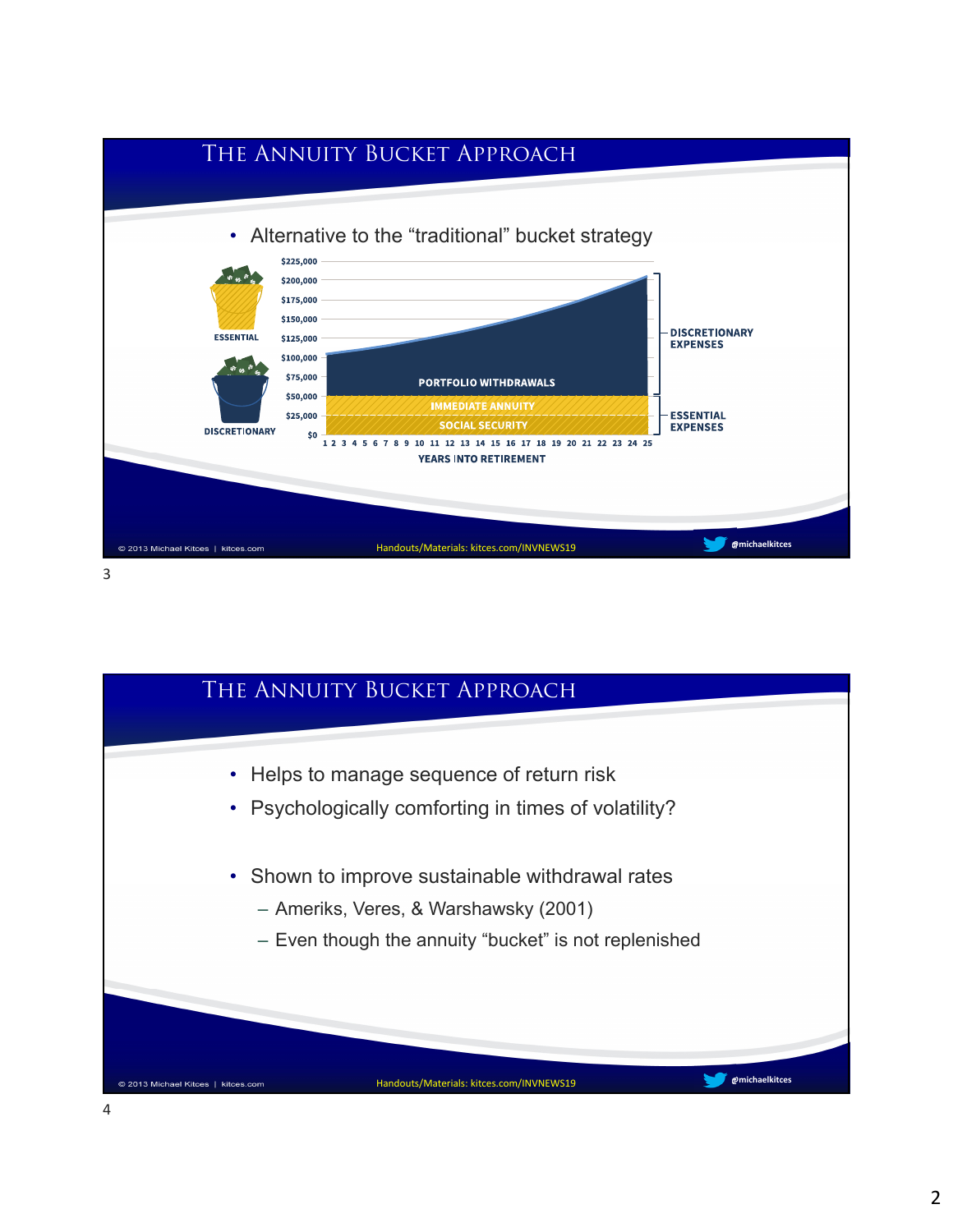

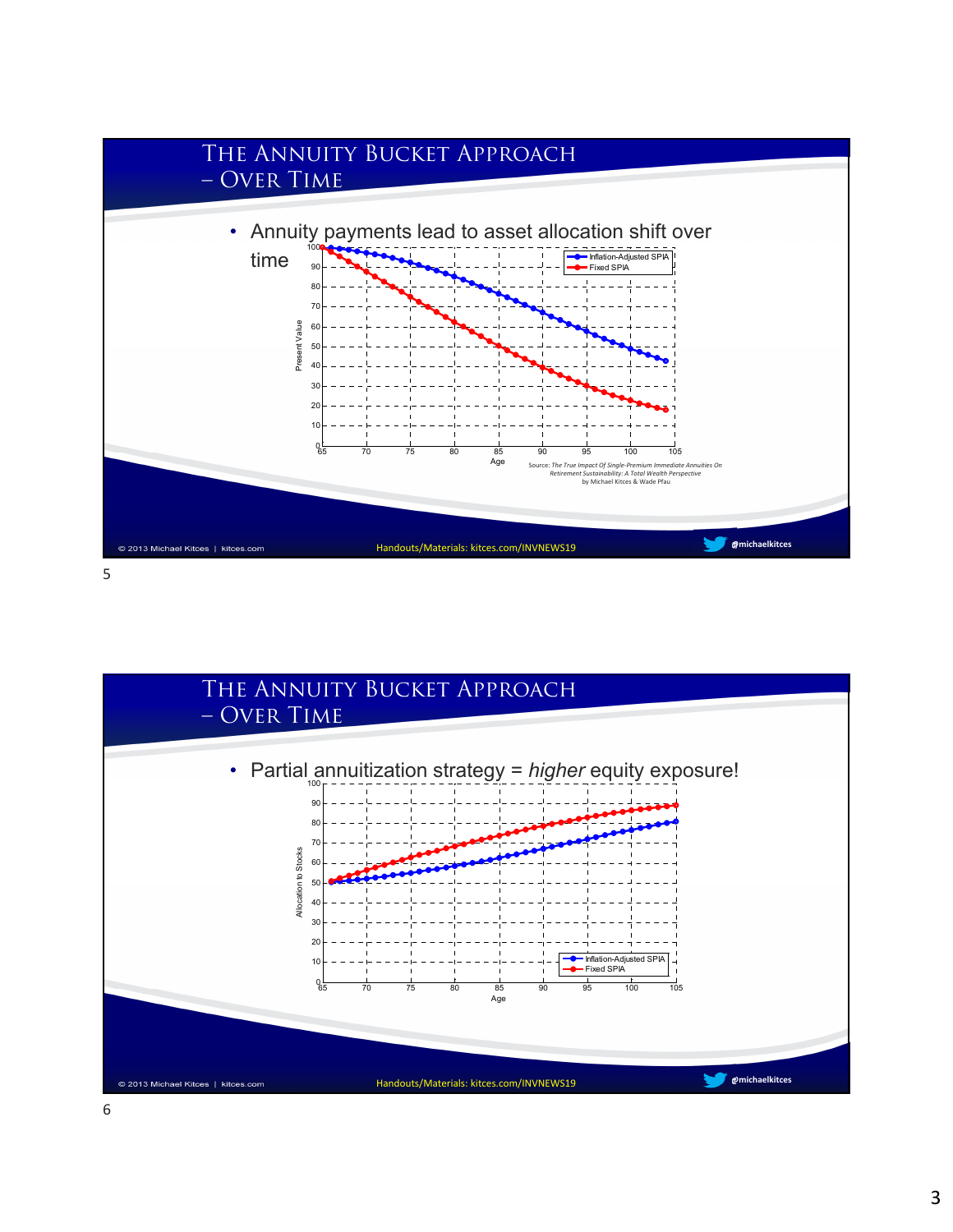

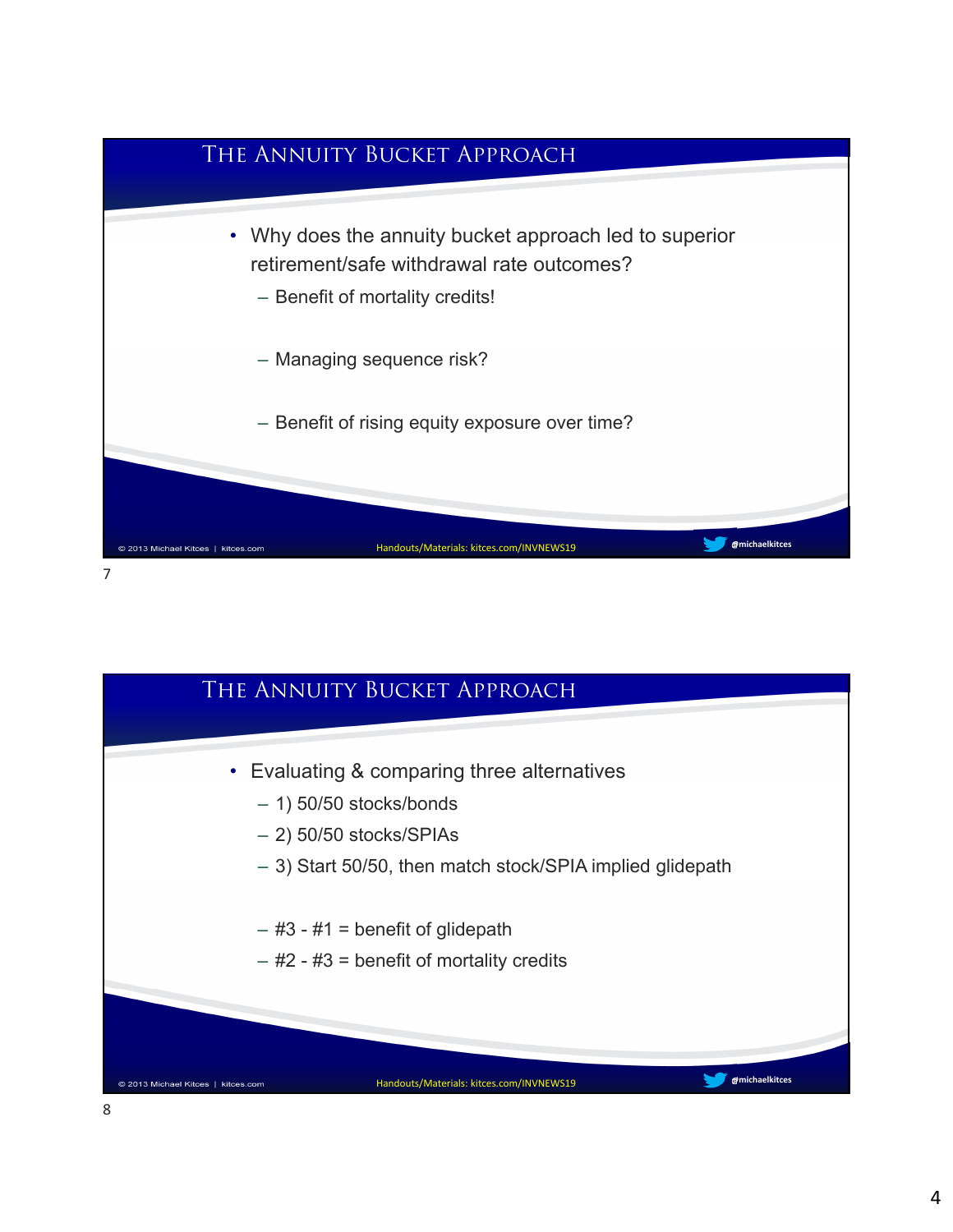

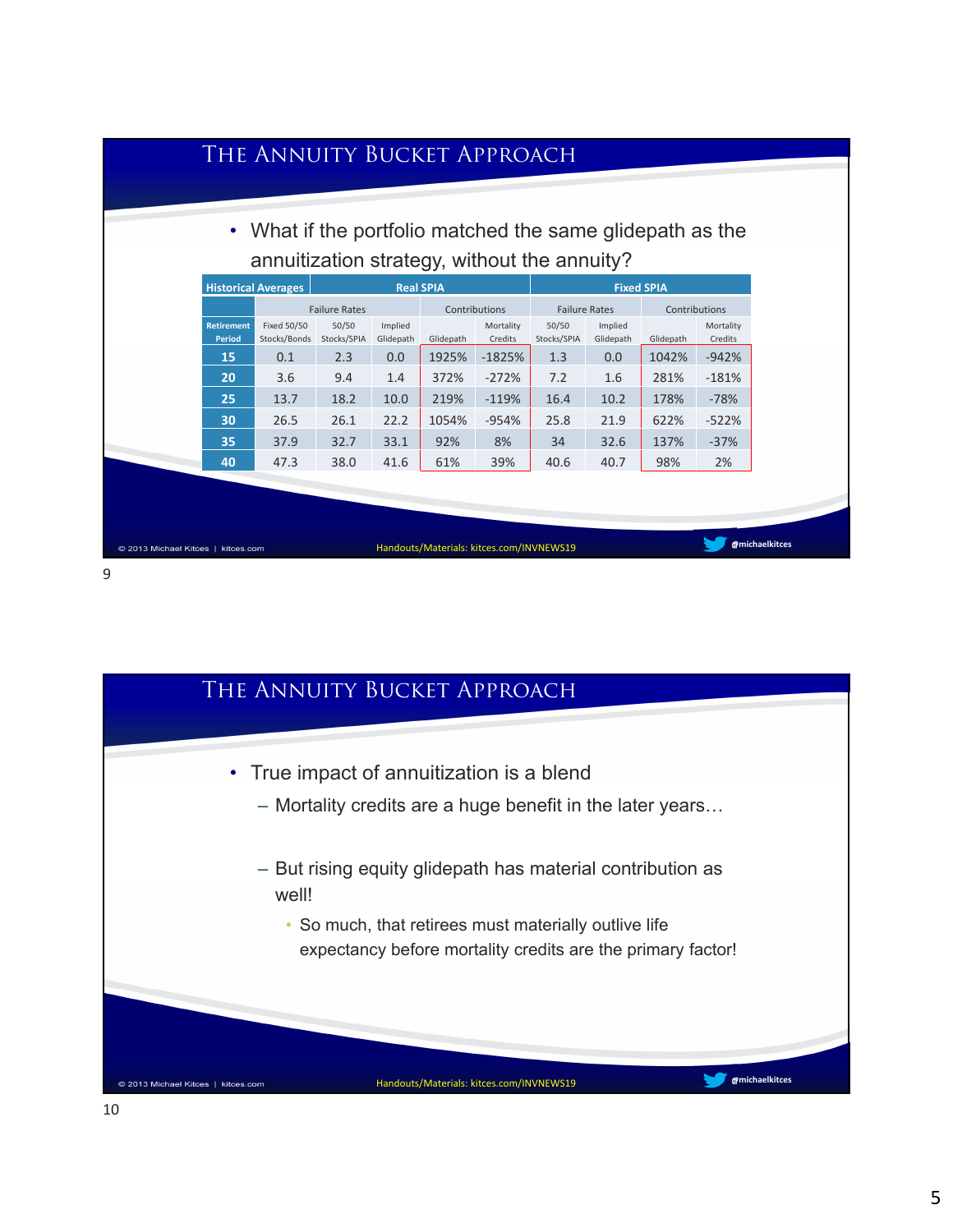|                                    | • What if the portfolio matched the same glidepath as the<br>annuitization strategy, without the annuity? |                      |                      |           |                      |                      |                      |               |                      |  |
|------------------------------------|-----------------------------------------------------------------------------------------------------------|----------------------|----------------------|-----------|----------------------|----------------------|----------------------|---------------|----------------------|--|
|                                    | <b>Historical Averages</b><br><b>Real SPIA</b><br><b>Fixed SPIA</b>                                       |                      |                      |           |                      |                      |                      |               |                      |  |
|                                    | <b>Failure Rates</b>                                                                                      |                      |                      |           | Contributions        | <b>Failure Rates</b> |                      | Contributions |                      |  |
| <b>Retirement</b><br><b>Period</b> | <b>Fixed 50/50</b><br>Stocks/Bonds                                                                        | 50/50<br>Stocks/SPIA | Implied<br>Glidepath | Glidepath | Mortality<br>Credits | 50/50<br>Stocks/SPIA | Implied<br>Glidepath | Glidepath     | Mortality<br>Credits |  |
| 15                                 | 0.1                                                                                                       | 2.3                  | 0.0                  | 1925%     | $-1825%$             | 1.3                  | 0.0                  | 1042%         | $-942%$              |  |
| 20                                 | 3.6                                                                                                       | 9.4                  | 1.4                  | 372%      | $-272%$              | 7.2                  | 1.6                  | 281%          | $-181%$              |  |
| 25                                 | 13.7                                                                                                      | 18.2                 | 10.0                 | 219%      | $-119%$              | 16.4                 | 10.2                 | 178%          | $-78%$               |  |
| 30                                 | 26.5                                                                                                      | 26.1                 | 22.2                 | 1054%     | $-954%$              | 25.8                 | 21.9                 | 622%          | $-522%$              |  |
| 35                                 | 37.9                                                                                                      | 32.7                 | 33.1                 | 92%       | 8%                   | 34                   | 32.6                 | 137%          | $-37%$               |  |
| 40                                 | 47.3                                                                                                      | 38.0                 | 41.6                 | 61%       | 39%                  | 40.6                 | 40.7                 | 98%           | 2%                   |  |
|                                    |                                                                                                           |                      |                      |           |                      |                      |                      |               |                      |  |
|                                    |                                                                                                           |                      |                      |           |                      |                      |                      |               |                      |  |

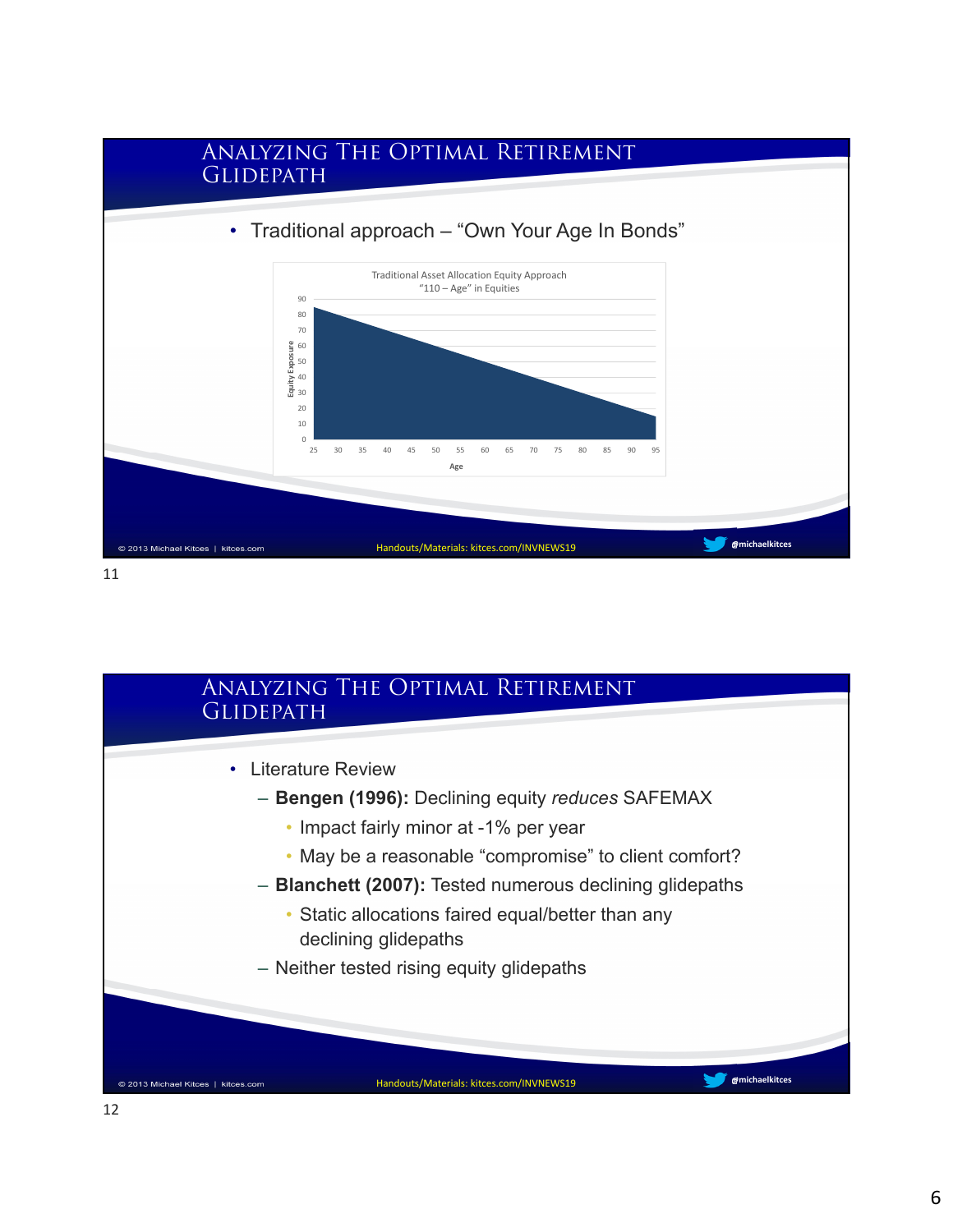

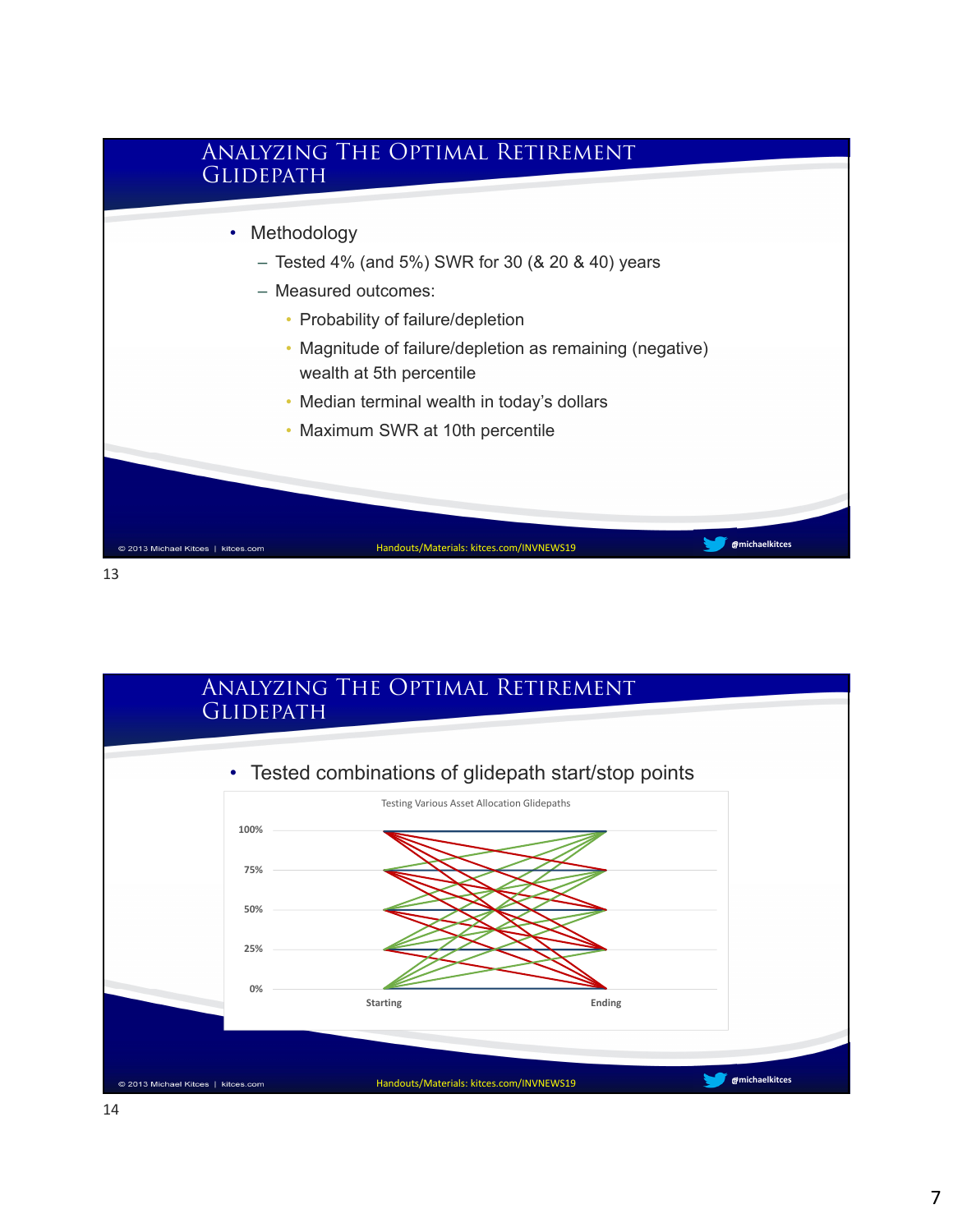

13

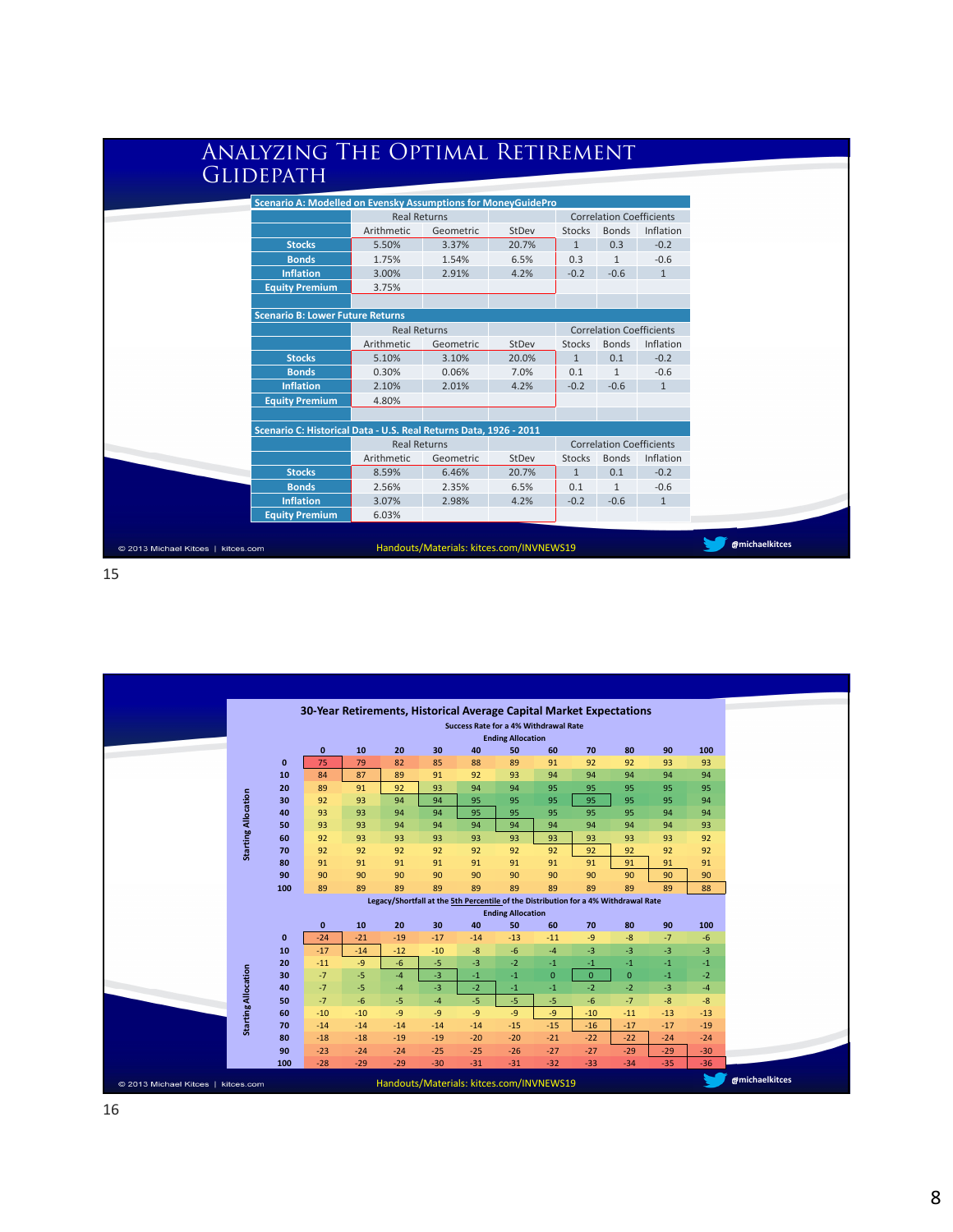| ANALYZING THE OPTIMAL RETIREMENT                                  |                     |                                          |       |              |                                                              |                                                                                                         |  |  |
|-------------------------------------------------------------------|---------------------|------------------------------------------|-------|--------------|--------------------------------------------------------------|---------------------------------------------------------------------------------------------------------|--|--|
| <b>GLIDEPATH</b>                                                  |                     |                                          |       |              |                                                              |                                                                                                         |  |  |
|                                                                   |                     |                                          |       |              |                                                              |                                                                                                         |  |  |
| Scenario A: Modelled on Evensky Assumptions for MoneyGuidePro     | <b>Real Returns</b> |                                          |       |              |                                                              |                                                                                                         |  |  |
|                                                                   |                     |                                          |       |              | <b>Correlation Coefficients</b><br><b>Bonds</b><br>Inflation |                                                                                                         |  |  |
| <b>Stocks</b>                                                     | Arithmetic<br>5.50% | Geometric                                | StDev | Stocks       | 0.3                                                          | $-0.2$                                                                                                  |  |  |
|                                                                   |                     | 3.37%                                    | 20.7% | $\mathbf{1}$ |                                                              |                                                                                                         |  |  |
| <b>Bonds</b>                                                      | 1.75%               | 1.54%                                    | 6.5%  | 0.3          | $\mathbf{1}$                                                 | $-0.6$                                                                                                  |  |  |
| <b>Inflation</b>                                                  | 3.00%               | 2.91%                                    | 4.2%  | $-0.2$       | $-0.6$                                                       | $\mathbf{1}$                                                                                            |  |  |
| <b>Equity Premium</b>                                             | 3.75%               |                                          |       |              |                                                              |                                                                                                         |  |  |
|                                                                   |                     |                                          |       |              |                                                              |                                                                                                         |  |  |
| <b>Scenario B: Lower Future Returns</b>                           |                     |                                          |       |              |                                                              |                                                                                                         |  |  |
|                                                                   | <b>Real Returns</b> |                                          |       |              |                                                              | <b>Correlation Coefficients</b>                                                                         |  |  |
|                                                                   | Arithmetic          | Geometric                                | StDev | Stocks       | <b>Bonds</b>                                                 |                                                                                                         |  |  |
| <b>Stocks</b>                                                     | 5.10%               | 3.10%                                    | 20.0% | $\mathbf{1}$ | 0.1                                                          |                                                                                                         |  |  |
| <b>Bonds</b>                                                      | 0.30%               | 0.06%                                    | 7.0%  | 0.1          | $\mathbf{1}$                                                 |                                                                                                         |  |  |
| <b>Inflation</b>                                                  | 2.10%               | 2.01%                                    | 4.2%  | $-0.2$       | $-0.6$                                                       |                                                                                                         |  |  |
| <b>Equity Premium</b>                                             | 4.80%               |                                          |       |              |                                                              |                                                                                                         |  |  |
| Scenario C: Historical Data - U.S. Real Returns Data, 1926 - 2011 |                     |                                          |       |              |                                                              |                                                                                                         |  |  |
|                                                                   | <b>Real Returns</b> |                                          |       |              |                                                              | Inflation<br>$-0.2$<br>$-0.6$<br>$\mathbf{1}$<br><b>Correlation Coefficients</b><br>Inflation<br>$-0.2$ |  |  |
|                                                                   | Arithmetic          | Geometric                                | StDev | Stocks       | <b>Bonds</b>                                                 |                                                                                                         |  |  |
| <b>Stocks</b>                                                     | 8.59%               | 6.46%                                    | 20.7% | $\mathbf{1}$ | 0.1                                                          |                                                                                                         |  |  |
| <b>Bonds</b>                                                      | 2.56%               | 2.35%                                    | 6.5%  | 0.1          | $\mathbf{1}$                                                 | $-0.6$                                                                                                  |  |  |
| <b>Inflation</b>                                                  | 3.07%               | 2.98%                                    | 4.2%  | $-0.2$       | $-0.6$                                                       | $\mathbf{1}$                                                                                            |  |  |
| <b>Equity Premium</b>                                             | 6.03%               |                                          |       |              |                                                              |                                                                                                         |  |  |
|                                                                   |                     |                                          |       |              |                                                              |                                                                                                         |  |  |
| © 2013 Michael Kitces   kitces.com                                |                     | Handouts/Materials: kitces.com/INVNEWS19 |       |              |                                                              |                                                                                                         |  |  |

15

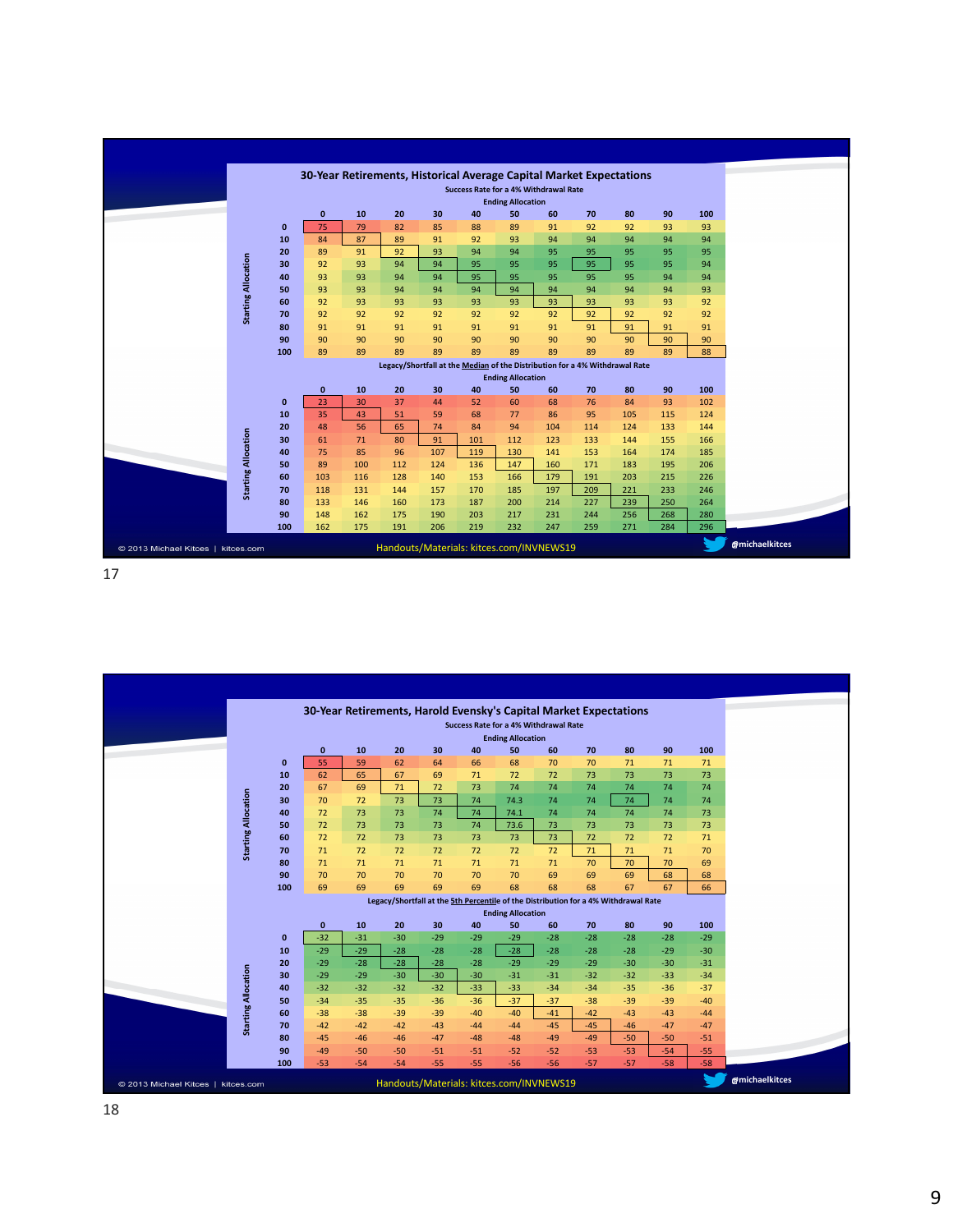|                                    |              |              |           | 30-Year Retirements, Historical Average Capital Market Expectations         |            |                                              |                          |            |            |            |            |            |                       |
|------------------------------------|--------------|--------------|-----------|-----------------------------------------------------------------------------|------------|----------------------------------------------|--------------------------|------------|------------|------------|------------|------------|-----------------------|
|                                    |              |              |           |                                                                             |            | <b>Success Rate for a 4% Withdrawal Rate</b> |                          |            |            |            |            |            |                       |
|                                    |              |              |           |                                                                             |            |                                              | <b>Ending Allocation</b> |            |            |            |            |            |                       |
|                                    |              | $\mathbf{0}$ | 10        | 20                                                                          | 30         | 40                                           | 50                       | 60         | 70         | 80         | 90         | 100        |                       |
|                                    | $\mathbf 0$  | 75           | 79        | 82                                                                          | 85         | 88                                           | 89                       | 91         | 92         | 92         | 93         | 93         |                       |
|                                    | 10           | 84           | 87        | 89                                                                          | 91         | 92                                           | 93                       | 94         | 94         | 94         | 94         | 94         |                       |
|                                    | 20           | 89           | 91        | 92                                                                          | 93         | 94                                           | 94                       | 95         | 95         | 95         | 95         | 95         |                       |
|                                    | 30           | 92           | 93        | 94                                                                          | 94         | 95                                           | 95                       | 95         | 95         | 95         | 95         | 94         |                       |
|                                    | 40           | 93           | 93        | 94                                                                          | 94         | 95                                           | 95                       | 95         | 95         | 95         | 94         | 94         |                       |
| <b>Starting Allocation</b>         | 50           | 93           | 93        | 94                                                                          | 94         | 94                                           | 94                       | 94         | 94         | 94         | 94         | 93         |                       |
|                                    | 60           | 92           | 93        | 93                                                                          | 93         | 93                                           | 93                       | 93         | 93         | 93         | 93         | 92         |                       |
|                                    | 70           | 92           | 92        | 92                                                                          | 92         | 92                                           | 92                       | 92         | 92         | 92         | 92         | 92         |                       |
|                                    | 80           | 91           | 91        | 91                                                                          | 91         | 91                                           | 91                       | 91         | 91         | 91         | 91         | 91         |                       |
|                                    | 90           | 90           | 90        | 90                                                                          | 90         | 90                                           | 90                       | 90         | 90         | 90         | 90         | 90         |                       |
|                                    | 100          | 89           | 89        | 89                                                                          | 89         | 89                                           | 89                       | 89         | 89         | 89         | 89         | 88         |                       |
|                                    |              |              |           | Legacy/Shortfall at the Median of the Distribution for a 4% Withdrawal Rate |            |                                              |                          |            |            |            |            |            |                       |
|                                    |              |              |           |                                                                             |            |                                              | <b>Ending Allocation</b> |            |            |            |            |            |                       |
|                                    |              | $\mathbf{0}$ | 10        | 20                                                                          | 30         | 40                                           | 50                       | 60         | 70         | 80         | 90         | 100        |                       |
|                                    | $\mathbf{0}$ | 23           | 30        | 37                                                                          | 44         | 52                                           | 60                       | 68         | 76         | 84         | 93         | 102        |                       |
|                                    | 10           | 35           | 43        | 51                                                                          | 59         | 68                                           | 77                       | 86         | 95         | 105        | 115        | 124        |                       |
|                                    | 20           | 48           | 56        | 65                                                                          | 74         | 84                                           | 94                       | 104        | 114        | 124        | 133        | 144        |                       |
|                                    | 30           | 61           | 71        | 80                                                                          | 91         | 101                                          | 112                      | 123        | 133        | 144        | 155        | 166        |                       |
| <b>Starting Allocation</b>         | 40<br>50     | 75<br>89     | 85<br>100 | 96<br>112                                                                   | 107<br>124 | 119<br>136                                   | 130<br>147               | 141<br>160 | 153<br>171 | 164<br>183 | 174<br>195 | 185<br>206 |                       |
|                                    | 60           | 103          | 116       | 128                                                                         | 140        | 153                                          | 166                      |            |            | 203        | 215        | 226        |                       |
|                                    | 70           | 118          | 131       | 144                                                                         | 157        | 170                                          | 185                      | 179<br>197 | 191<br>209 | 221        | 233        | 246        |                       |
|                                    | 80           | 133          | 146       | 160                                                                         | 173        | 187                                          | 200                      | 214        | 227        | 239        | 250        | 264        |                       |
|                                    | 90           | 148          | 162       | 175                                                                         | 190        | 203                                          | 217                      | 231        | 244        | 256        | 268        | 280        |                       |
|                                    | 100          | 162          | 175       | 191                                                                         | 206        | 219                                          | 232                      | 247        | 259        | 271        | 284        | 296        |                       |
|                                    |              |              |           |                                                                             |            |                                              |                          |            |            |            |            |            |                       |
| © 2013 Michael Kitces   kitces.com |              |              |           | Handouts/Materials: kitces.com/INVNEWS19                                    |            |                                              |                          |            |            |            |            |            | <b>@michaelkitces</b> |



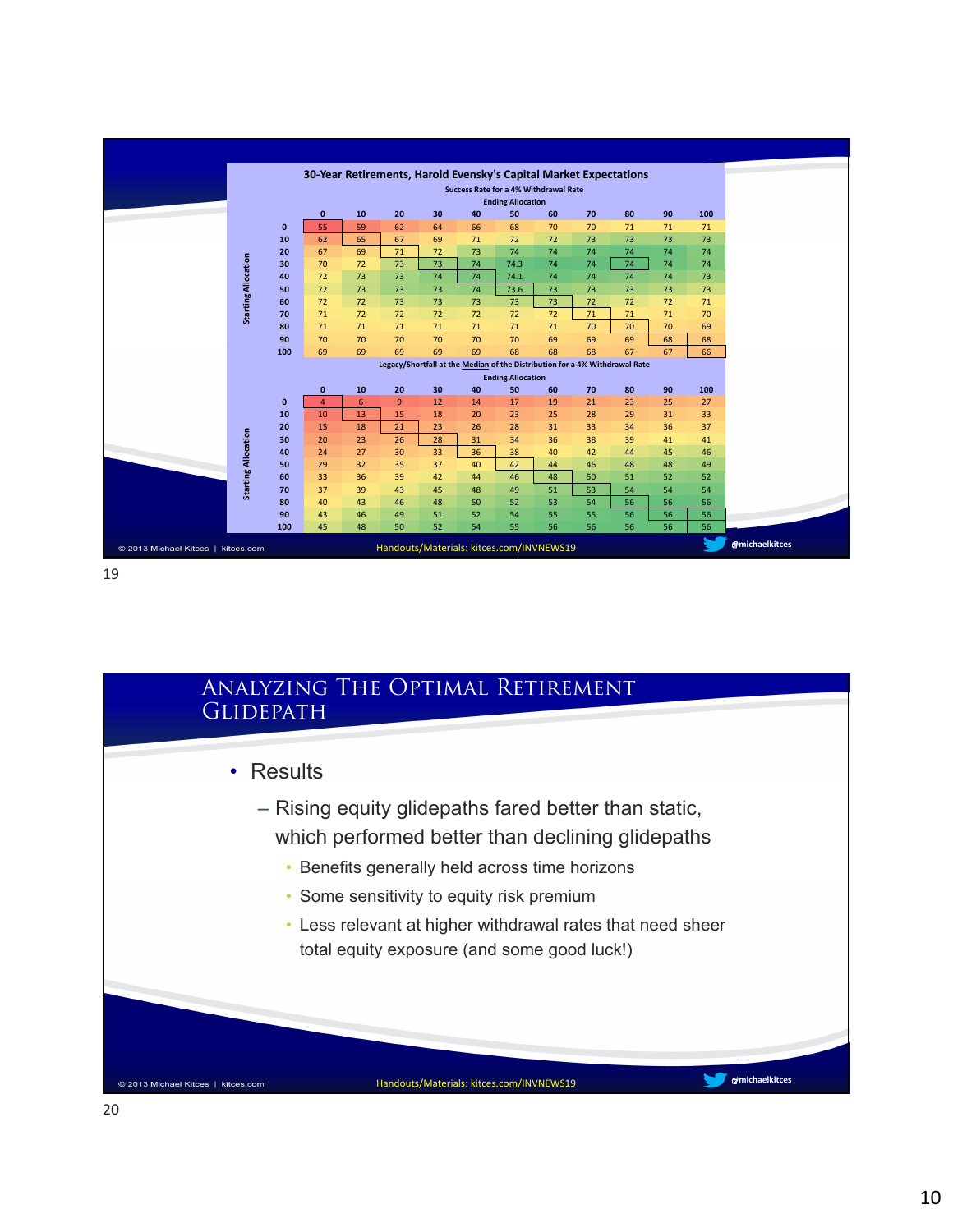|                                    |                            |              |              |    |                                          |    |                                              |                                |    |    | 30-Year Retirements, Harold Evensky's Capital Market Expectations           |    |     |  |
|------------------------------------|----------------------------|--------------|--------------|----|------------------------------------------|----|----------------------------------------------|--------------------------------|----|----|-----------------------------------------------------------------------------|----|-----|--|
|                                    |                            |              |              |    |                                          |    | <b>Success Rate for a 4% Withdrawal Rate</b> |                                |    |    |                                                                             |    |     |  |
|                                    |                            |              |              |    |                                          |    |                                              | <b>Ending Allocation</b>       |    |    |                                                                             |    |     |  |
|                                    |                            |              | $\pmb{0}$    | 10 | 20                                       | 30 | 40                                           | 50                             | 60 | 70 | 80                                                                          | 90 | 100 |  |
|                                    |                            | $\mathbf{0}$ | 55           | 59 | 62                                       | 64 | 66                                           | 68                             | 70 | 70 | 71                                                                          | 71 | 71  |  |
|                                    |                            | 10           | 62           | 65 | 67                                       | 69 | 71                                           | 72                             | 72 | 73 | 73                                                                          | 73 | 73  |  |
|                                    |                            | 20           | 67           | 69 | 71                                       | 72 | 73                                           | 74                             | 74 | 74 | 74                                                                          | 74 | 74  |  |
|                                    |                            | 30           | 70           | 72 | 73                                       | 73 | 74                                           | 74.3                           | 74 | 74 | 74                                                                          | 74 | 74  |  |
|                                    |                            | 40           | 72           | 73 | 73                                       | 74 | 74                                           | 74.1                           | 74 | 74 | 74                                                                          | 74 | 73  |  |
|                                    | <b>Starting Allocation</b> | 50           | 72           | 73 | 73                                       | 73 | 74                                           | 73.6                           | 73 | 73 | 73                                                                          | 73 | 73  |  |
|                                    |                            | 60           | 72           | 72 | 73                                       | 73 | 73                                           | 73                             | 73 | 72 | 72                                                                          | 72 | 71  |  |
|                                    |                            | 70           | 71           | 72 | 72                                       | 72 | 72                                           | 72                             | 72 | 71 | 71                                                                          | 71 | 70  |  |
|                                    |                            | 80           | 71           | 71 | 71                                       | 71 | 71                                           | 71                             | 71 | 70 | 70                                                                          | 70 | 69  |  |
|                                    |                            | 90           | 70           | 70 | 70                                       | 70 | 70                                           | 70                             | 69 | 69 | 69                                                                          | 68 | 68  |  |
|                                    |                            | 100          | 69           | 69 | 69                                       | 69 | 69                                           | 68                             | 68 | 68 | 67                                                                          | 67 | 66  |  |
|                                    |                            |              |              |    |                                          |    |                                              |                                |    |    | Legacy/Shortfall at the Median of the Distribution for a 4% Withdrawal Rate |    |     |  |
|                                    |                            |              | $\mathbf{0}$ | 10 | 20                                       | 30 | 40                                           | <b>Ending Allocation</b><br>50 | 60 | 70 | 80                                                                          | 90 | 100 |  |
|                                    |                            | $\mathbf{0}$ | 4            | 6  | 9                                        | 12 | 14                                           | 17                             | 19 | 21 | 23                                                                          | 25 | 27  |  |
|                                    |                            | 10           | 10           | 13 | 15                                       | 18 | 20                                           | 23                             | 25 | 28 | 29                                                                          | 31 | 33  |  |
|                                    |                            | 20           | 15           | 18 | 21                                       | 23 | 26                                           | 28                             | 31 | 33 | 34                                                                          | 36 | 37  |  |
|                                    |                            | 30           | 20           | 23 | 26                                       | 28 | 31                                           | 34                             | 36 | 38 | 39                                                                          | 41 | 41  |  |
|                                    | <b>Starting Allocation</b> | 40           | 24           | 27 | 30                                       | 33 | 36                                           | 38                             | 40 | 42 | 44                                                                          | 45 | 46  |  |
|                                    |                            | 50           | 29           | 32 | 35                                       | 37 | 40                                           | 42                             | 44 | 46 | 48                                                                          | 48 | 49  |  |
|                                    |                            | 60           | 33           | 36 | 39                                       | 42 | 44                                           | 46                             | 48 | 50 | 51                                                                          | 52 | 52  |  |
|                                    |                            | 70           | 37           | 39 | 43                                       | 45 | 48                                           | 49                             | 51 | 53 | 54                                                                          | 54 | 54  |  |
|                                    |                            | 80           | 40           | 43 | 46                                       | 48 | 50                                           | 52                             | 53 | 54 | 56                                                                          | 56 | 56  |  |
|                                    |                            | 90           | 43           | 46 | 49                                       | 51 | 52                                           | 54                             | 55 | 55 | 56                                                                          | 56 | 56  |  |
|                                    |                            | 100          | 45           | 48 | 50                                       | 52 | 54                                           | 55                             | 56 | 56 | 56                                                                          | 56 | 56  |  |
| © 2013 Michael Kitces   kitces.com |                            |              |              |    | Handouts/Materials: kitces.com/INVNEWS19 |    |                                              |                                |    |    |                                                                             |    |     |  |
|                                    |                            |              |              |    |                                          |    |                                              |                                |    |    |                                                                             |    |     |  |

19

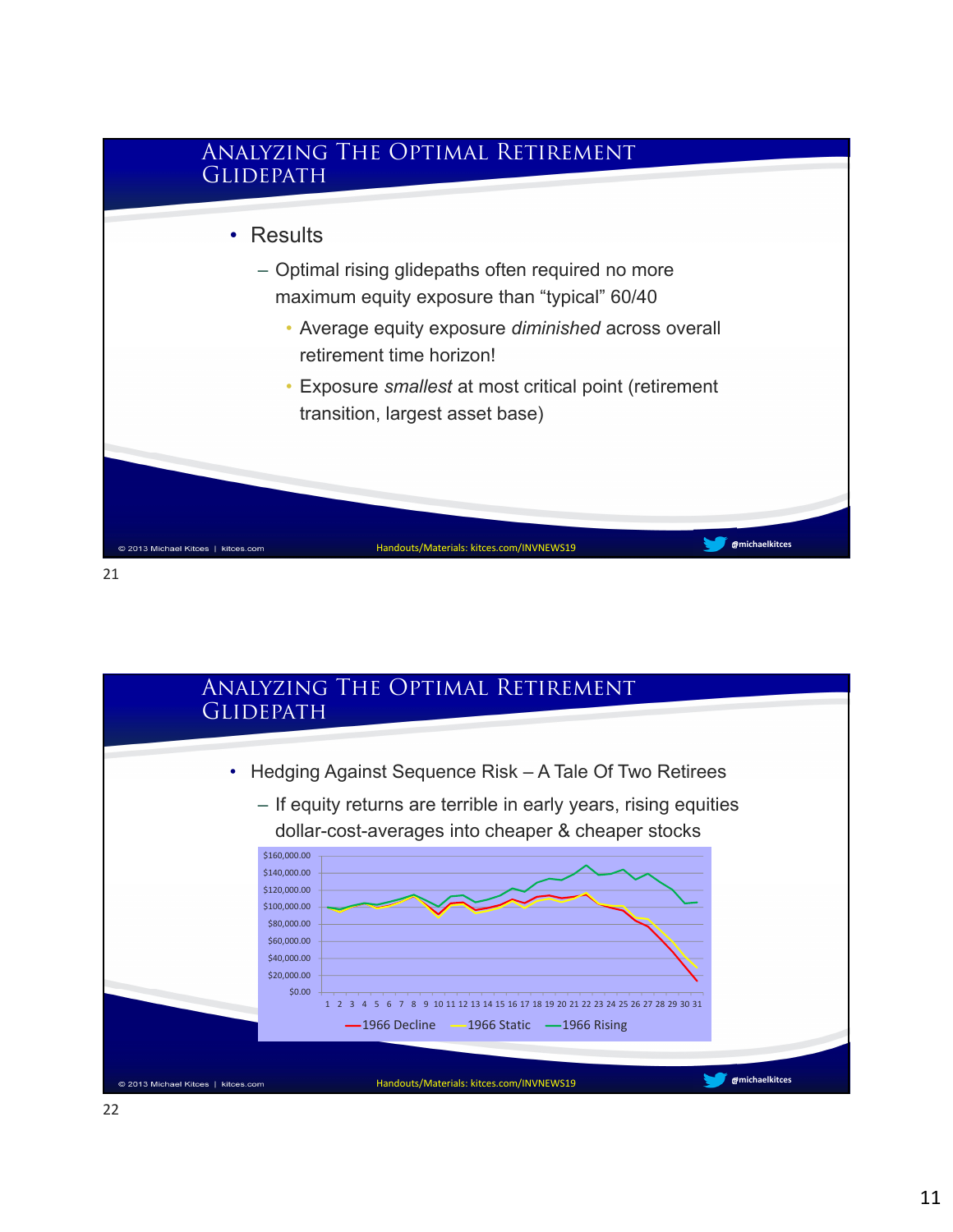

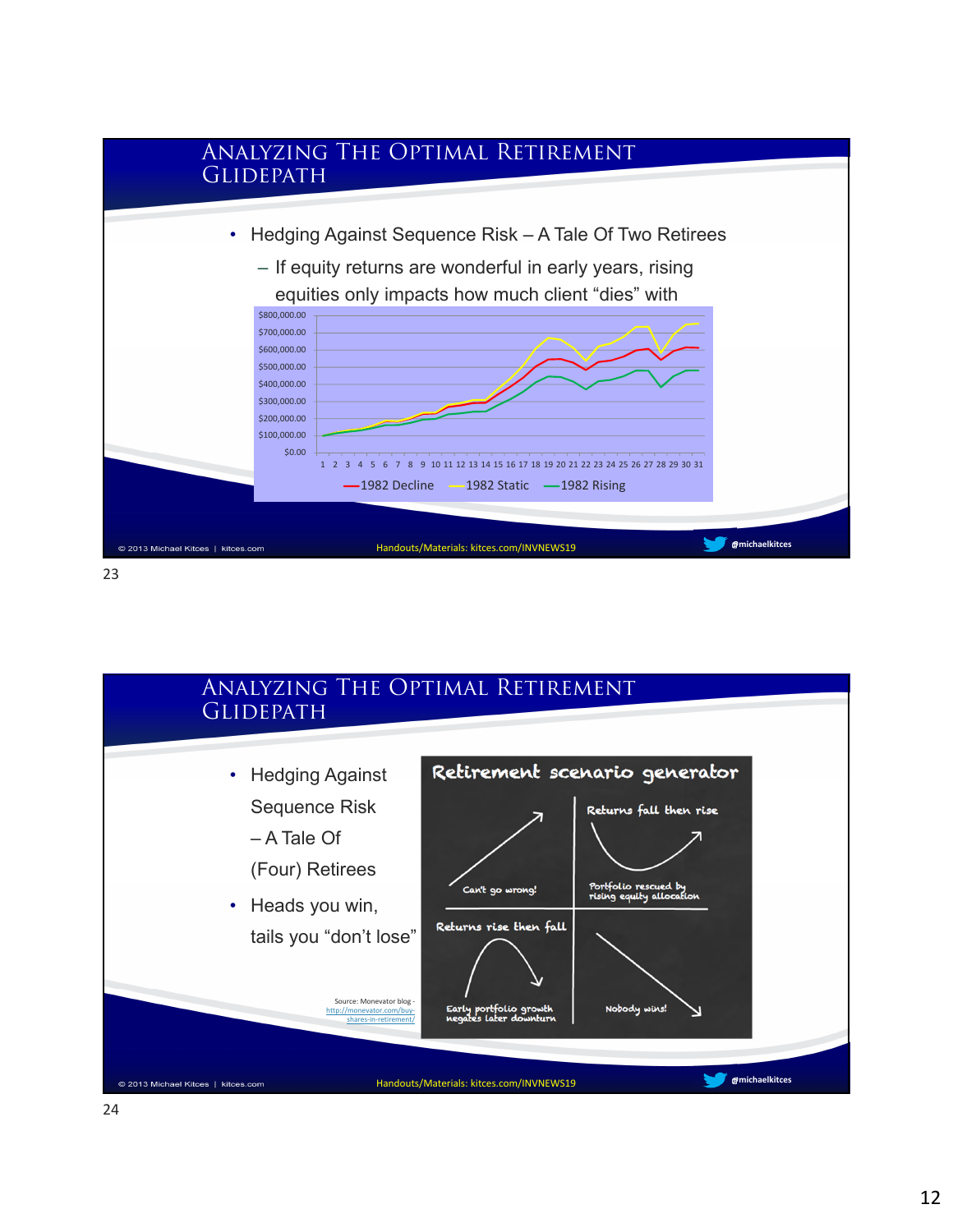

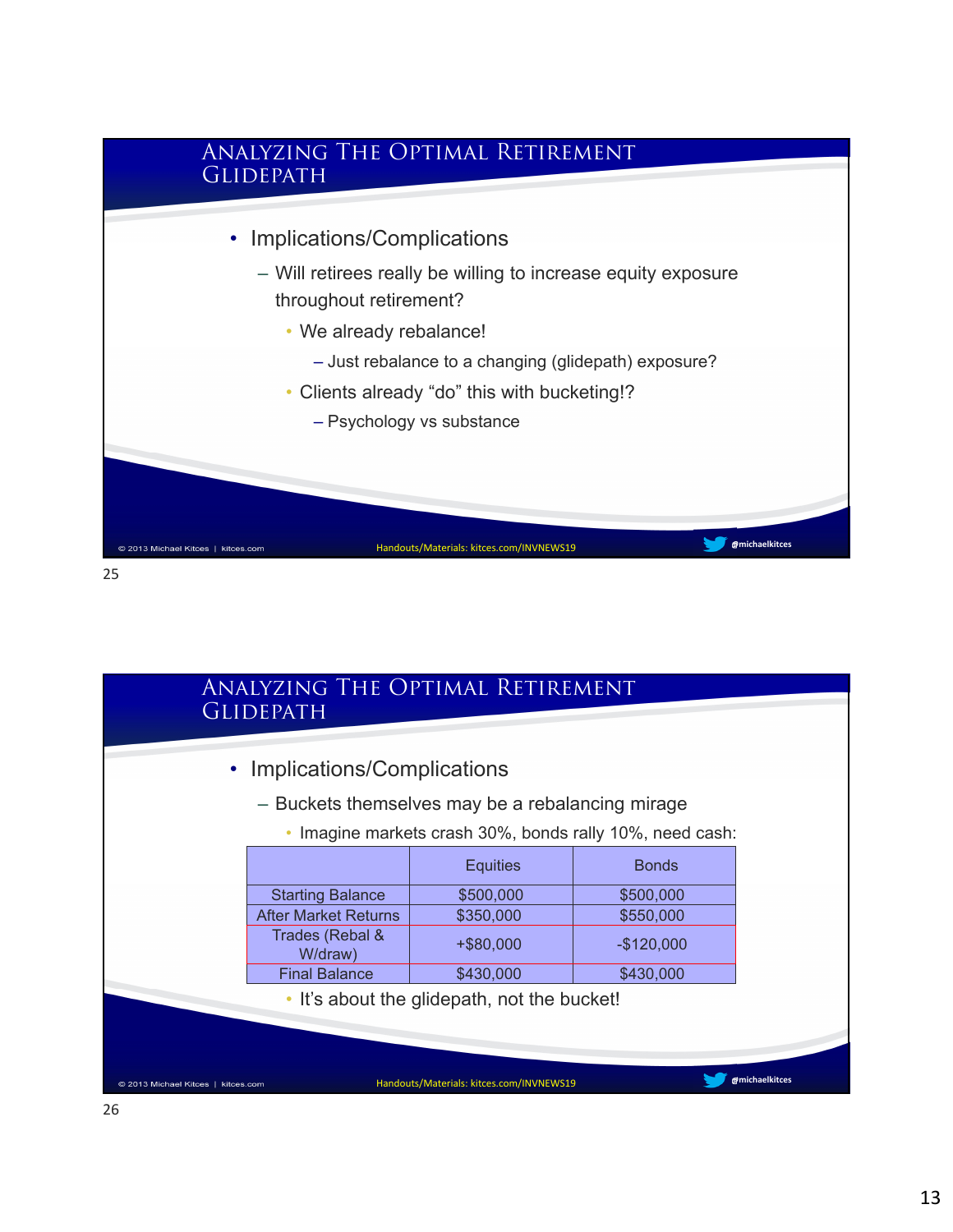

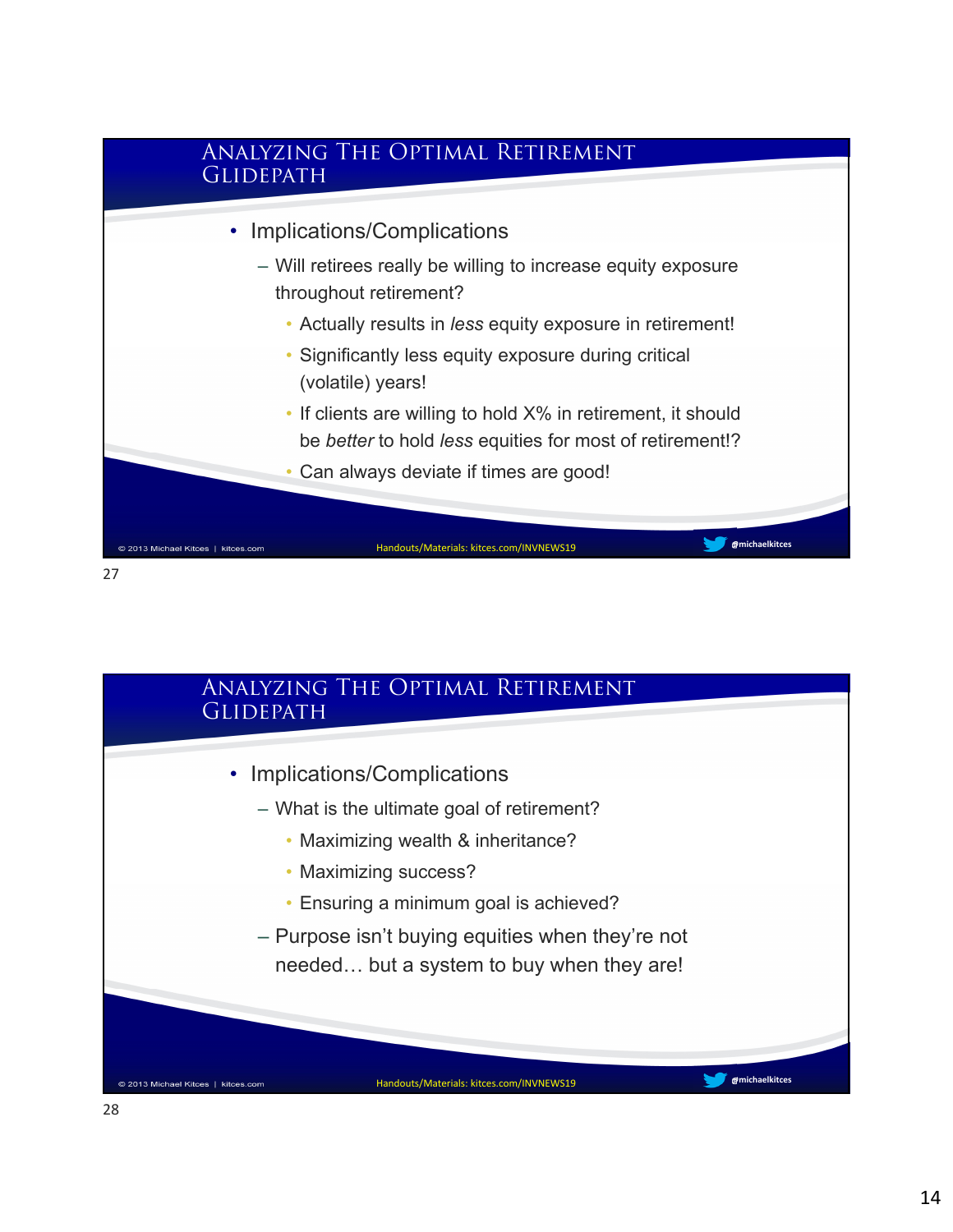

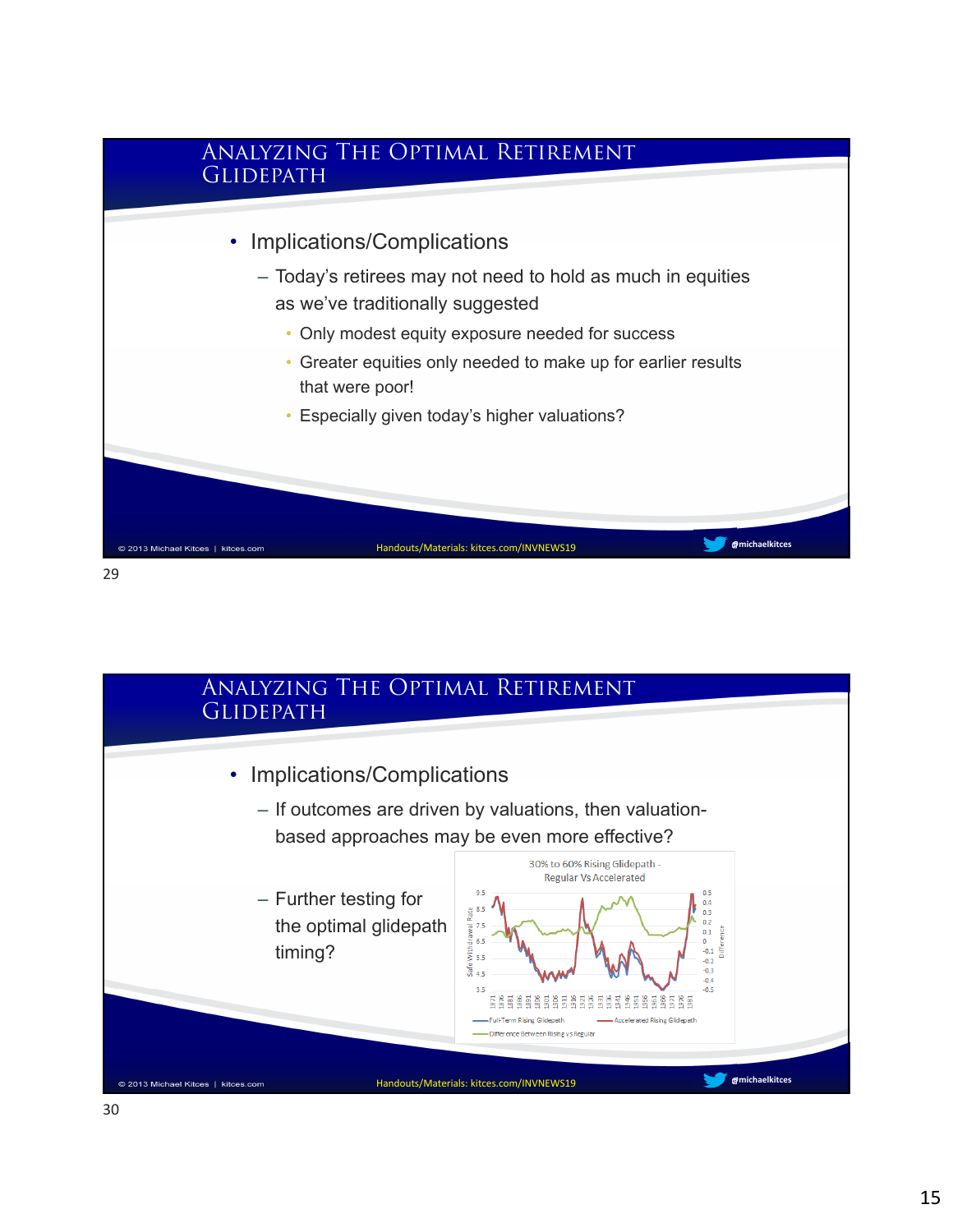